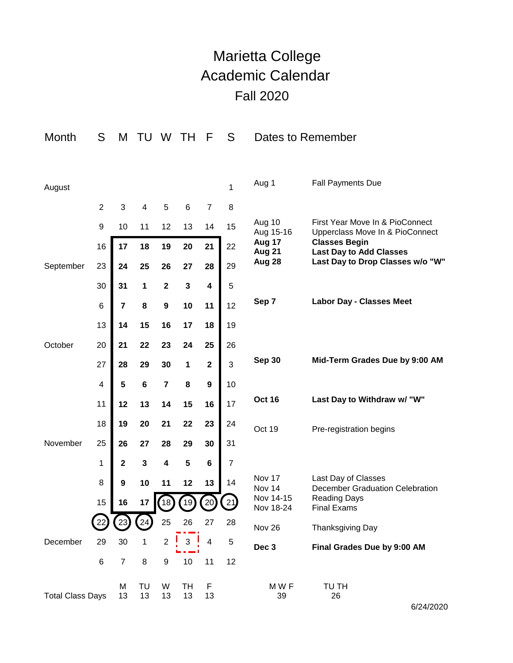## Marietta College Academic Calendar Fall 2020

| Month                   | S              | M                       | TU       | W                       | TН             | F                       | S              | Dates to Remember      |                                                                    |
|-------------------------|----------------|-------------------------|----------|-------------------------|----------------|-------------------------|----------------|------------------------|--------------------------------------------------------------------|
|                         |                |                         |          |                         |                |                         |                |                        |                                                                    |
| August                  |                |                         |          |                         |                |                         | 1              | Aug 1                  | <b>Fall Payments Due</b>                                           |
|                         | $\overline{2}$ | 3                       | 4        | 5                       | 6              | 7                       | 8              |                        |                                                                    |
|                         | 9              | 10                      | 11       | 12                      | 13             | 14                      | 15             | Aug 10<br>Aug 15-16    | First Year Move In & PioConnect<br>Upperclass Move In & PioConnect |
|                         | 16             | 17                      | 18       | 19                      | 20             | 21                      | 22             | Aug 17<br>Aug 21       | <b>Classes Begin</b><br><b>Last Day to Add Classes</b>             |
| September               | 23             | 24                      | 25       | 26                      | 27             | 28                      | 29             | Aug 28                 | Last Day to Drop Classes w/o "W"                                   |
|                         | 30             | 31                      | 1        | $\mathbf 2$             | $\mathbf 3$    | 4                       | 5              |                        |                                                                    |
|                         | 6              | $\overline{\mathbf{r}}$ | 8        | $\boldsymbol{9}$        | 10             | 11                      | 12             | Sep 7                  | <b>Labor Day - Classes Meet</b>                                    |
|                         | 13             | 14                      | 15       | 16                      | 17             | 18                      | 19             |                        |                                                                    |
| October                 | 20             | 21                      | 22       | 23                      | 24             | 25                      | 26             |                        |                                                                    |
|                         | 27             | 28                      | 29       | 30                      | 1              | $\mathbf 2$             | 3              | <b>Sep 30</b>          | Mid-Term Grades Due by 9:00 AM                                     |
|                         | 4              | 5                       | $\bf 6$  | $\overline{7}$          | 8              | $\boldsymbol{9}$        | 10             |                        |                                                                    |
|                         | 11             | 12                      | 13       | 14                      | 15             | 16                      | 17             | <b>Oct 16</b>          | Last Day to Withdraw w/ "W"                                        |
|                         | 18             | 19                      | 20       | 21                      | 22             | 23                      | 24             | Oct 19                 | Pre-registration begins                                            |
| November                | 25             | 26                      | 27       | 28                      | 29             | 30                      | 31             |                        |                                                                    |
|                         | 1              | $\mathbf 2$             | 3        | $\overline{\mathbf{4}}$ | 5              | 6                       | $\overline{7}$ |                        |                                                                    |
|                         | 8              | 9                       | 10       | 11                      | 12             | 13                      | 14             | Nov 17<br>Nov 14       | Last Day of Classes<br>December Graduation Celebration             |
|                         | 15             | 16                      | 17       |                         | $(18)$ $(19)$  | (20)(21)                |                | Nov 14-15<br>Nov 18-24 | <b>Reading Days</b><br><b>Final Exams</b>                          |
|                         |                | $\left[23\right]$       | (24)     | 25                      | 26             | 27                      | 28             | Nov 26                 | Thanksgiving Day                                                   |
| December                | 29             | 30                      | 1        | $\overline{2}$          | 3 <sup>1</sup> | $\overline{\mathbf{4}}$ | 5              | Dec 3                  | Final Grades Due by 9:00 AM                                        |
|                         | $\,6$          | $\overline{7}$          | 8        | 9                       | 10             | 11                      | 12             |                        |                                                                    |
| <b>Total Class Days</b> |                | М<br>13                 | TU<br>13 | W<br>13                 | TH<br>13       | F<br>13                 |                | MWF<br>39              | TU TH<br>26                                                        |

6/24/2020